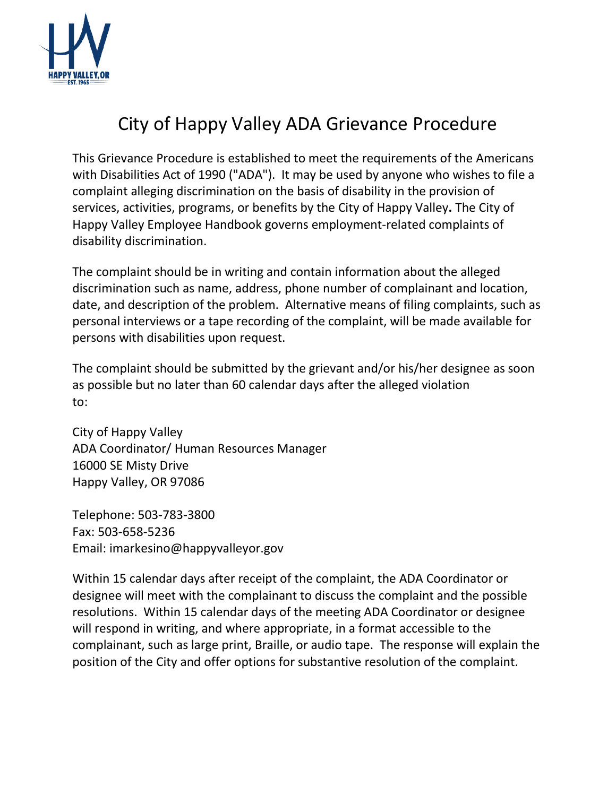

## City of Happy Valley ADA Grievance Procedure

This Grievance Procedure is established to meet the requirements of the Americans with Disabilities Act of 1990 ("ADA"). It may be used by anyone who wishes to file a complaint alleging discrimination on the basis of disability in the provision of services, activities, programs, or benefits by the City of Happy Valley**.** The City of Happy Valley Employee Handbook governs employment-related complaints of disability discrimination.

The complaint should be in writing and contain information about the alleged discrimination such as name, address, phone number of complainant and location, date, and description of the problem. Alternative means of filing complaints, such as personal interviews or a tape recording of the complaint, will be made available for persons with disabilities upon request.

The complaint should be submitted by the grievant and/or his/her designee as soon as possible but no later than 60 calendar days after the alleged violation to:

City of Happy Valley ADA Coordinator/ Human Resources Manager 16000 SE Misty Drive Happy Valley, OR 97086

Telephone: 503-783-3800 Fax: 503-658-5236 Email: imarkesino@happyvalleyor.gov

Within 15 calendar days after receipt of the complaint, the ADA Coordinator or designee will meet with the complainant to discuss the complaint and the possible resolutions. Within 15 calendar days of the meeting ADA Coordinator or designee will respond in writing, and where appropriate, in a format accessible to the complainant, such as large print, Braille, or audio tape. The response will explain the position of the City and offer options for substantive resolution of the complaint.